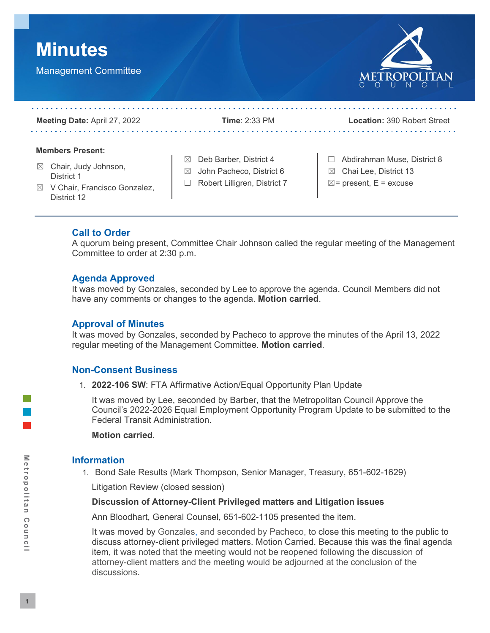

## **Call to Order**

A quorum being present, Committee Chair Johnson called the regular meeting of the Management Committee to order at 2:30 p.m.

#### **Agenda Approved**

It was moved by Gonzales, seconded by Lee to approve the agenda. Council Members did not have any comments or changes to the agenda. **Motion carried**.

#### **Approval of Minutes**

It was moved by Gonzales, seconded by Pacheco to approve the minutes of the April 13, 2022 regular meeting of the Management Committee. **Motion carried**.

## **Non-Consent Business**

1. **2022-106 SW**: FTA Affirmative Action/Equal Opportunity Plan Update

It was moved by Lee, seconded by Barber, that the Metropolitan Council Approve the Council's 2022-2026 Equal Employment Opportunity Program Update to be submitted to the Federal Transit Administration.

#### **Motion carried**.

#### **Information**

1. Bond Sale Results (Mark Thompson, Senior Manager, Treasury, 651-602-1629)

Litigation Review (closed session)

#### **Discussion of Attorney-Client Privileged matters and Litigation issues**

Ann Bloodhart, General Counsel, 651-602-1105 presented the item.

It was moved by Gonzales, and seconded by Pacheco, to close this meeting to the public to discuss attorney-client privileged matters. Motion Carried. Because this was the final agenda item, it was noted that the meeting would not be reopened following the discussion of attorney-client matters and the meeting would be adjourned at the conclusion of the discussions.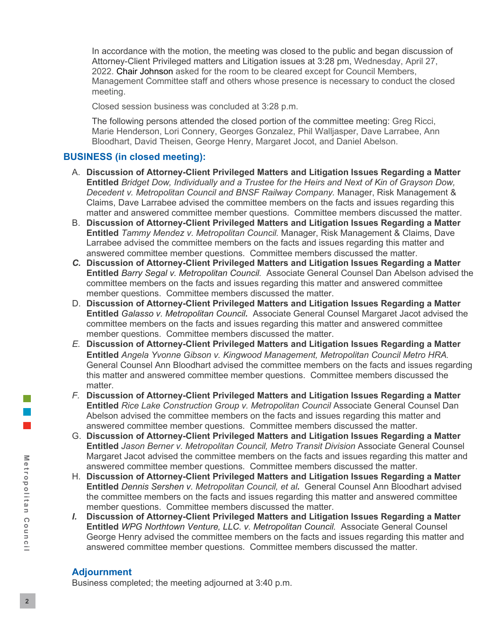In accordance with the motion, the meeting was closed to the public and began discussion of Attorney-Client Privileged matters and Litigation issues at 3:28 pm, Wednesday, April 27, 2022. Chair Johnson asked for the room to be cleared except for Council Members, Management Committee staff and others whose presence is necessary to conduct the closed meeting.

Closed session business was concluded at 3:28 p.m.

The following persons attended the closed portion of the committee meeting: Greg Ricci, Marie Henderson, Lori Connery, Georges Gonzalez, Phil Walljasper, Dave Larrabee, Ann Bloodhart, David Theisen, George Henry, Margaret Jocot, and Daniel Abelson.

### **BUSINESS (in closed meeting):**

- A. **Discussion of Attorney-Client Privileged Matters and Litigation Issues Regarding a Matter Entitled** *Bridget Dow, Individually and a Trustee for the Heirs and Next of Kin of Grayson Dow, Decedent v. Metropolitan Council and BNSF Railway Company.* Manager, Risk Management & Claims, Dave Larrabee advised the committee members on the facts and issues regarding this matter and answered committee member questions. Committee members discussed the matter.
- B. **Discussion of Attorney-Client Privileged Matters and Litigation Issues Regarding a Matter Entitled** *Tammy Mendez v. Metropolitan Council.* Manager, Risk Management & Claims, Dave Larrabee advised the committee members on the facts and issues regarding this matter and answered committee member questions. Committee members discussed the matter.
- *C.* **Discussion of Attorney-Client Privileged Matters and Litigation Issues Regarding a Matter Entitled** *Barry Segal v. Metropolitan Council.* Associate General Counsel Dan Abelson advised the committee members on the facts and issues regarding this matter and answered committee member questions. Committee members discussed the matter.
- D. **Discussion of Attorney-Client Privileged Matters and Litigation Issues Regarding a Matter Entitled** *Galasso v. Metropolitan Council.*Associate General Counsel Margaret Jacot advised the committee members on the facts and issues regarding this matter and answered committee member questions. Committee members discussed the matter.
- *E.* **Discussion of Attorney-Client Privileged Matters and Litigation Issues Regarding a Matter Entitled** *Angela Yvonne Gibson v. Kingwood Management, Metropolitan Council Metro HRA.* General Counsel Ann Bloodhart advised the committee members on the facts and issues regarding this matter and answered committee member questions. Committee members discussed the matter.
- *F.* **Discussion of Attorney-Client Privileged Matters and Litigation Issues Regarding a Matter Entitled** *Rice Lake Construction Group v. Metropolitan Council* Associate General Counsel Dan Abelson advised the committee members on the facts and issues regarding this matter and answered committee member questions. Committee members discussed the matter.
- G. **Discussion of Attorney-Client Privileged Matters and Litigation Issues Regarding a Matter Entitled** *Jason Berner v. Metropolitan Council, Metro Transit Division* Associate General Counsel Margaret Jacot advised the committee members on the facts and issues regarding this matter and answered committee member questions. Committee members discussed the matter.
- H. **Discussion of Attorney-Client Privileged Matters and Litigation Issues Regarding a Matter Entitled** *Dennis Sershen v. Metropolitan Council, et al.*General Counsel Ann Bloodhart advised the committee members on the facts and issues regarding this matter and answered committee member questions. Committee members discussed the matter.
- *I.* **Discussion of Attorney-Client Privileged Matters and Litigation Issues Regarding a Matter Entitled** *WPG Northtown Venture, LLC. v. Metropolitan Council.* Associate General Counsel George Henry advised the committee members on the facts and issues regarding this matter and answered committee member questions. Committee members discussed the matter.

#### **Adjournment**

Business completed; the meeting adjourned at 3:40 p.m.